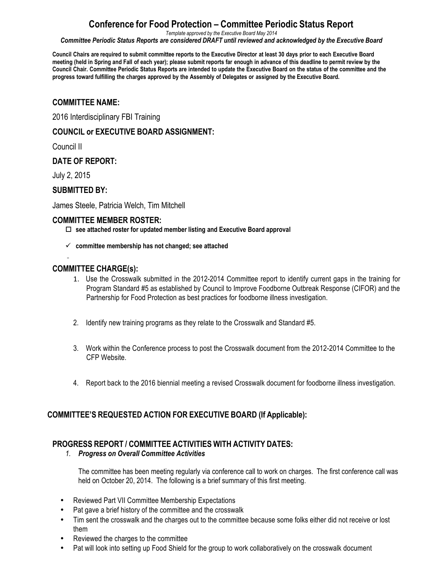### **Conference for Food Protection – Committee Periodic Status Report**

*Template approved by the Executive Board May 2014*

*Committee Periodic Status Reports are considered DRAFT until reviewed and acknowledged by the Executive Board*

Council Chairs are required to submit committee reports to the Executive Director at least 30 days prior to each Executive Board meeting (held in Spring and Fall of each year); please submit reports far enough in advance of this deadline to permit review by the Council Chair. Committee Periodic Status Reports are intended to update the Executive Board on the status of the committee and the **progress toward fulfilling the charges approved by the Assembly of Delegates or assigned by the Executive Board.**

#### **COMMITTEE NAME:**

2016 Interdisciplinary FBI Training

#### **COUNCIL or EXECUTIVE BOARD ASSIGNMENT:**

Council II

#### **DATE OF REPORT:**

July 2, 2015

#### **SUBMITTED BY:**

James Steele, Patricia Welch, Tim Mitchell

#### **COMMITTEE MEMBER ROSTER:**

- o **see attached roster for updated member listing and Executive Board approval**
- ü **committee membership has not changed; see attached**

#### **COMMITTEE CHARGE(s):**

- 1. Use the Crosswalk submitted in the 2012-2014 Committee report to identify current gaps in the training for Program Standard #5 as established by Council to Improve Foodborne Outbreak Response (CIFOR) and the Partnership for Food Protection as best practices for foodborne illness investigation.
- 2. Identify new training programs as they relate to the Crosswalk and Standard #5.
- 3. Work within the Conference process to post the Crosswalk document from the 2012-2014 Committee to the CFP Website.
- 4. Report back to the 2016 biennial meeting a revised Crosswalk document for foodborne illness investigation.

#### **COMMITTEE'S REQUESTED ACTION FOR EXECUTIVE BOARD (If Applicable):**

#### **PROGRESS REPORT / COMMITTEE ACTIVITIES WITH ACTIVITY DATES:**

#### *1. Progress on Overall Committee Activities*

The committee has been meeting regularly via conference call to work on charges. The first conference call was held on October 20, 2014. The following is a brief summary of this first meeting.

- Reviewed Part VII Committee Membership Expectations
- Pat gave a brief history of the committee and the crosswalk
- Tim sent the crosswalk and the charges out to the committee because some folks either did not receive or lost them
- Reviewed the charges to the committee
- Pat will look into setting up Food Shield for the group to work collaboratively on the crosswalk document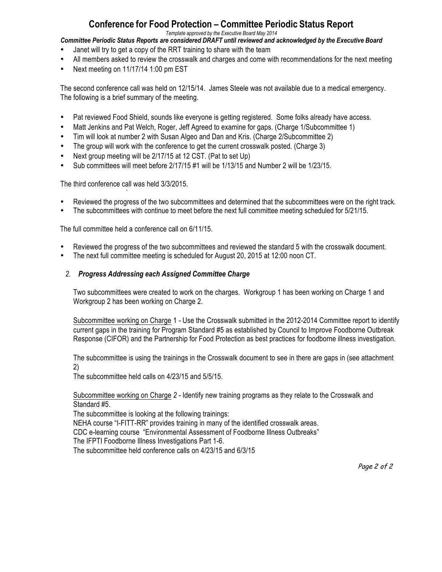### **Conference for Food Protection – Committee Periodic Status Report**

*Template approved by the Executive Board May 2014*

*Committee Periodic Status Reports are considered DRAFT until reviewed and acknowledged by the Executive Board*

- Janet will try to get a copy of the RRT training to share with the team
- All members asked to review the crosswalk and charges and come with recommendations for the next meeting
- Next meeting on 11/17/14 1:00 pm EST

The second conference call was held on 12/15/14. James Steele was not available due to a medical emergency. The following is a brief summary of the meeting.

- Pat reviewed Food Shield, sounds like everyone is getting registered. Some folks already have access.
- Matt Jenkins and Pat Welch, Roger, Jeff Agreed to examine for gaps. (Charge 1/Subcommittee 1)
- Tim will look at number 2 with Susan Algeo and Dan and Kris. (Charge 2/Subcommittee 2)
- The group will work with the conference to get the current crosswalk posted. (Charge 3)
- Next group meeting will be 2/17/15 at 12 CST. (Pat to set Up)
- Sub committees will meet before 2/17/15 #1 will be 1/13/15 and Number 2 will be 1/23/15.

The third conference call was held 3/3/2015. *`*

- Reviewed the progress of the two subcommittees and determined that the subcommittees were on the right track.<br>• The subcommittees with continue to meet before the next full committee meeting scheduled for 5/21/15.
- The subcommittees with continue to meet before the next full committee meeting scheduled for 5/21/15.

The full committee held a conference call on 6/11/15.

- Reviewed the progress of the two subcommittees and reviewed the standard 5 with the crosswalk document.
- The next full committee meeting is scheduled for August 20, 2015 at 12:00 noon CT.

#### *2. Progress Addressing each Assigned Committee Charge*

Two subcommittees were created to work on the charges. Workgroup 1 has been working on Charge 1 and Workgroup 2 has been working on Charge 2.

Subcommittee working on Charge 1 *-* Use the Crosswalk submitted in the 2012-2014 Committee report to identify current gaps in the training for Program Standard #5 as established by Council to Improve Foodborne Outbreak Response (CIFOR) and the Partnership for Food Protection as best practices for foodborne illness investigation.

The subcommittee is using the trainings in the Crosswalk document to see in there are gaps in (see attachment 2)

The subcommittee held calls on 4/23/15 and 5/5/15.

Subcommittee working on Charge *2 -* Identify new training programs as they relate to the Crosswalk and Standard #5.

The subcommittee is looking at the following trainings:

NEHA course "I-FITT-RR" provides training in many of the identified crosswalk areas.

CDC e-learning course "Environmental Assessment of Foodborne Illness Outbreaks"

The IFPTI Foodborne Illness Investigations Part 1-6.

The subcommittee held conference calls on 4/23/15 and 6/3/15

Page 2 of 2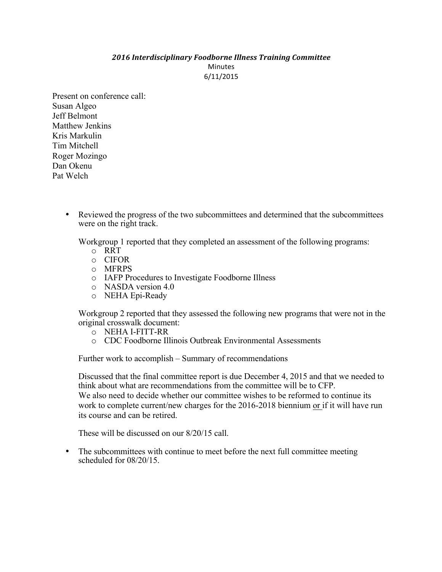#### *2016 Interdisciplinary Foodborne Illness Training Committee* Minutes 6/11/2015

Present on conference call: Susan Algeo Jeff Belmont Matthew Jenkins Kris Markulin Tim Mitchell Roger Mozingo Dan Okenu Pat Welch

> • Reviewed the progress of the two subcommittees and determined that the subcommittees were on the right track.

Workgroup 1 reported that they completed an assessment of the following programs:

- o RRT
- o CIFOR
- o MFRPS
- o IAFP Procedures to Investigate Foodborne Illness
- o NASDA version 4.0
- o NEHA Epi-Ready

Workgroup 2 reported that they assessed the following new programs that were not in the original crosswalk document:

- o NEHA I-FITT-RR
- o CDC Foodborne Illinois Outbreak Environmental Assessments

Further work to accomplish – Summary of recommendations

Discussed that the final committee report is due December 4, 2015 and that we needed to think about what are recommendations from the committee will be to CFP. We also need to decide whether our committee wishes to be reformed to continue its work to complete current/new charges for the 2016-2018 biennium or if it will have run its course and can be retired.

These will be discussed on our 8/20/15 call.

• The subcommittees with continue to meet before the next full committee meeting scheduled for 08/20/15.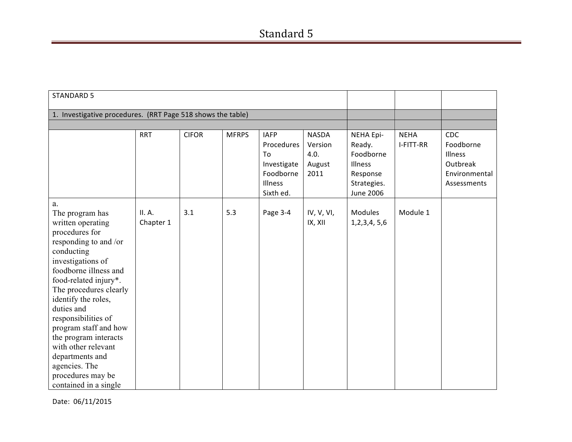| <b>STANDARD 5</b>                                                                                                                                                                                                                                                                                                                                                                                                           |                     |              |              |                                                                                     |                                                   |                                                                                                   |                          |                                                                                |
|-----------------------------------------------------------------------------------------------------------------------------------------------------------------------------------------------------------------------------------------------------------------------------------------------------------------------------------------------------------------------------------------------------------------------------|---------------------|--------------|--------------|-------------------------------------------------------------------------------------|---------------------------------------------------|---------------------------------------------------------------------------------------------------|--------------------------|--------------------------------------------------------------------------------|
| 1. Investigative procedures. (RRT Page 518 shows the table)                                                                                                                                                                                                                                                                                                                                                                 |                     |              |              |                                                                                     |                                                   |                                                                                                   |                          |                                                                                |
|                                                                                                                                                                                                                                                                                                                                                                                                                             |                     |              |              |                                                                                     |                                                   |                                                                                                   |                          |                                                                                |
|                                                                                                                                                                                                                                                                                                                                                                                                                             | <b>RRT</b>          | <b>CIFOR</b> | <b>MFRPS</b> | <b>IAFP</b><br>Procedures<br>To<br>Investigate<br>Foodborne<br>Illness<br>Sixth ed. | <b>NASDA</b><br>Version<br>4.0.<br>August<br>2011 | <b>NEHA Epi-</b><br>Ready.<br>Foodborne<br>Illness<br>Response<br>Strategies.<br><b>June 2006</b> | <b>NEHA</b><br>I-FITT-RR | <b>CDC</b><br>Foodborne<br>Illness<br>Outbreak<br>Environmental<br>Assessments |
| a.<br>The program has<br>written operating<br>procedures for<br>responding to and /or<br>conducting<br>investigations of<br>foodborne illness and<br>food-related injury*.<br>The procedures clearly<br>identify the roles,<br>duties and<br>responsibilities of<br>program staff and how<br>the program interacts<br>with other relevant<br>departments and<br>agencies. The<br>procedures may be<br>contained in a single | II. A.<br>Chapter 1 | 3.1          | 5.3          | Page 3-4                                                                            | IV, V, VI,<br>IX, XII                             | Modules<br>1, 2, 3, 4, 5, 6                                                                       | Module 1                 |                                                                                |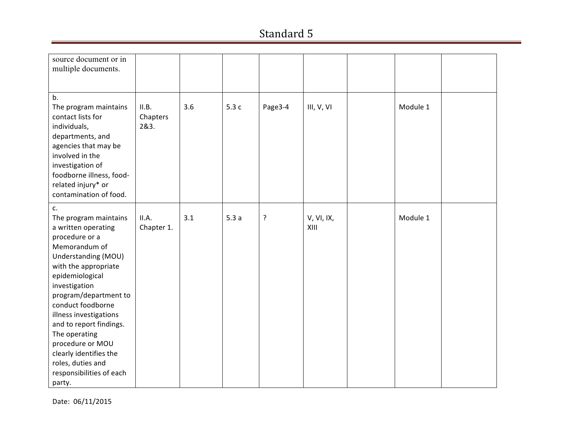| source document or in<br>multiple documents.                                                                                                                                                                                                                                                                                                                                                          |                           |     |      |         |                    |          |  |
|-------------------------------------------------------------------------------------------------------------------------------------------------------------------------------------------------------------------------------------------------------------------------------------------------------------------------------------------------------------------------------------------------------|---------------------------|-----|------|---------|--------------------|----------|--|
| b.<br>The program maintains<br>contact lists for<br>individuals,<br>departments, and<br>agencies that may be<br>involved in the<br>investigation of<br>foodborne illness, food-<br>related injury* or<br>contamination of food.                                                                                                                                                                       | II.B.<br>Chapters<br>2&3. | 3.6 | 5.3c | Page3-4 | III, V, VI         | Module 1 |  |
| c.<br>The program maintains<br>a written operating<br>procedure or a<br>Memorandum of<br>Understanding (MOU)<br>with the appropriate<br>epidemiological<br>investigation<br>program/department to<br>conduct foodborne<br>illness investigations<br>and to report findings.<br>The operating<br>procedure or MOU<br>clearly identifies the<br>roles, duties and<br>responsibilities of each<br>party. | II.A.<br>Chapter 1.       | 3.1 | 5.3a | ?       | V, VI, IX,<br>XIII | Module 1 |  |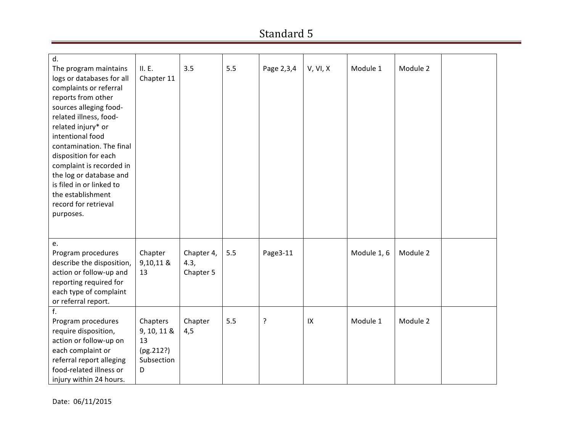| d.<br>The program maintains | II. E.      | 3.5        | 5.5 | Page 2,3,4 | V, VI, X | Module 1    | Module 2 |  |
|-----------------------------|-------------|------------|-----|------------|----------|-------------|----------|--|
| logs or databases for all   | Chapter 11  |            |     |            |          |             |          |  |
| complaints or referral      |             |            |     |            |          |             |          |  |
| reports from other          |             |            |     |            |          |             |          |  |
| sources alleging food-      |             |            |     |            |          |             |          |  |
| related illness, food-      |             |            |     |            |          |             |          |  |
| related injury* or          |             |            |     |            |          |             |          |  |
| intentional food            |             |            |     |            |          |             |          |  |
| contamination. The final    |             |            |     |            |          |             |          |  |
| disposition for each        |             |            |     |            |          |             |          |  |
| complaint is recorded in    |             |            |     |            |          |             |          |  |
| the log or database and     |             |            |     |            |          |             |          |  |
| is filed in or linked to    |             |            |     |            |          |             |          |  |
| the establishment           |             |            |     |            |          |             |          |  |
| record for retrieval        |             |            |     |            |          |             |          |  |
| purposes.                   |             |            |     |            |          |             |          |  |
|                             |             |            |     |            |          |             |          |  |
|                             |             |            |     |            |          |             |          |  |
| e.                          |             |            |     |            |          |             |          |  |
| Program procedures          | Chapter     | Chapter 4, | 5.5 | Page3-11   |          | Module 1, 6 | Module 2 |  |
| describe the disposition,   | 9,10,11 &   | 4.3,       |     |            |          |             |          |  |
| action or follow-up and     | 13          | Chapter 5  |     |            |          |             |          |  |
| reporting required for      |             |            |     |            |          |             |          |  |
| each type of complaint      |             |            |     |            |          |             |          |  |
| or referral report.         |             |            |     |            |          |             |          |  |
| f.                          |             |            |     |            |          |             |          |  |
| Program procedures          | Chapters    | Chapter    | 5.5 | ?          | IX       | Module 1    | Module 2 |  |
| require disposition,        | 9, 10, 11 & | 4,5        |     |            |          |             |          |  |
| action or follow-up on      | 13          |            |     |            |          |             |          |  |
| each complaint or           | (pg.212?)   |            |     |            |          |             |          |  |
| referral report alleging    | Subsection  |            |     |            |          |             |          |  |
| food-related illness or     | D           |            |     |            |          |             |          |  |
| injury within 24 hours.     |             |            |     |            |          |             |          |  |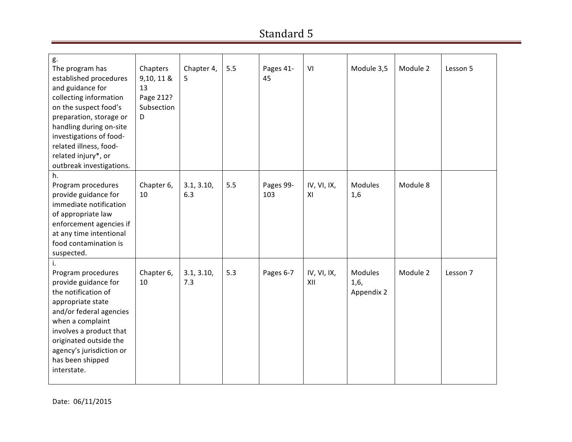| g.<br>The program has<br>established procedures<br>and guidance for<br>collecting information<br>on the suspect food's<br>preparation, storage or<br>handling during on-site<br>investigations of food-<br>related illness, food-<br>related injury*, or<br>outbreak investigations. | Chapters<br>9,10, 11 &<br>13<br>Page 212?<br>Subsection<br>D | Chapter 4,<br>5   | 5.5 | Pages 41-<br>45  | VI                 | Module 3,5                           | Module 2 | Lesson 5 |
|--------------------------------------------------------------------------------------------------------------------------------------------------------------------------------------------------------------------------------------------------------------------------------------|--------------------------------------------------------------|-------------------|-----|------------------|--------------------|--------------------------------------|----------|----------|
| h.<br>Program procedures<br>provide guidance for<br>immediate notification<br>of appropriate law<br>enforcement agencies if<br>at any time intentional<br>food contamination is<br>suspected.                                                                                        | Chapter 6,<br>10                                             | 3.1, 3.10,<br>6.3 | 5.5 | Pages 99-<br>103 | IV, VI, IX,<br>XI  | <b>Modules</b><br>1,6                | Module 8 |          |
| Program procedures<br>provide guidance for<br>the notification of<br>appropriate state<br>and/or federal agencies<br>when a complaint<br>involves a product that<br>originated outside the<br>agency's jurisdiction or<br>has been shipped<br>interstate.                            | Chapter 6,<br>10                                             | 3.1, 3.10,<br>7.3 | 5.3 | Pages 6-7        | IV, VI, IX,<br>XII | <b>Modules</b><br>1,6,<br>Appendix 2 | Module 2 | Lesson 7 |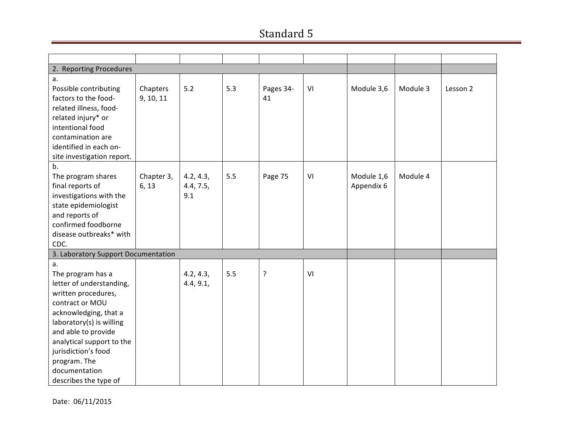| 2. Reporting Procedures             |            |           |     |           |    |            |          |          |
|-------------------------------------|------------|-----------|-----|-----------|----|------------|----------|----------|
| a.                                  |            |           |     |           |    |            |          |          |
| Possible contributing               | Chapters   | 5.2       | 5.3 | Pages 34- | VI | Module 3,6 | Module 3 | Lesson 2 |
| factors to the food-                | 9, 10, 11  |           |     | 41        |    |            |          |          |
| related illness, food-              |            |           |     |           |    |            |          |          |
| related injury* or                  |            |           |     |           |    |            |          |          |
| intentional food                    |            |           |     |           |    |            |          |          |
| contamination are                   |            |           |     |           |    |            |          |          |
| identified in each on-              |            |           |     |           |    |            |          |          |
| site investigation report.          |            |           |     |           |    |            |          |          |
| b.                                  |            |           |     |           |    |            |          |          |
| The program shares                  | Chapter 3, | 4.2, 4.3, | 5.5 | Page 75   | VI | Module 1,6 | Module 4 |          |
| final reports of                    | 6, 13      | 4.4, 7.5, |     |           |    | Appendix 6 |          |          |
| investigations with the             |            | 9.1       |     |           |    |            |          |          |
| state epidemiologist                |            |           |     |           |    |            |          |          |
| and reports of                      |            |           |     |           |    |            |          |          |
| confirmed foodborne                 |            |           |     |           |    |            |          |          |
| disease outbreaks* with             |            |           |     |           |    |            |          |          |
| CDC.                                |            |           |     |           |    |            |          |          |
| 3. Laboratory Support Documentation |            |           |     |           |    |            |          |          |
| a.                                  |            |           |     |           |    |            |          |          |
| The program has a                   |            | 4.2, 4.3, | 5.5 | $\cdot$   | VI |            |          |          |
| letter of understanding,            |            | 4.4, 9.1, |     |           |    |            |          |          |
| written procedures,                 |            |           |     |           |    |            |          |          |
| contract or MOU                     |            |           |     |           |    |            |          |          |
| acknowledging, that a               |            |           |     |           |    |            |          |          |
| laboratory(s) is willing            |            |           |     |           |    |            |          |          |
| and able to provide                 |            |           |     |           |    |            |          |          |
| analytical support to the           |            |           |     |           |    |            |          |          |
| jurisdiction's food                 |            |           |     |           |    |            |          |          |
| program. The                        |            |           |     |           |    |            |          |          |
| documentation                       |            |           |     |           |    |            |          |          |
| describes the type of               |            |           |     |           |    |            |          |          |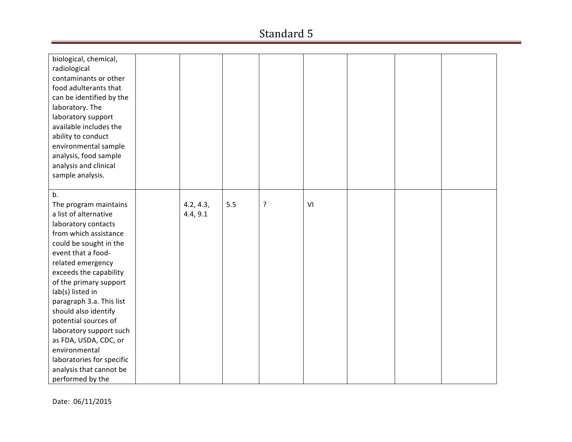| biological, chemical,<br>radiological<br>contaminants or other<br>food adulterants that<br>can be identified by the<br>laboratory. The<br>laboratory support<br>available includes the<br>ability to conduct<br>environmental sample<br>analysis, food sample<br>analysis and clinical<br>sample analysis.                                                                                                                                                                     |                       |     |   |    |  |  |
|--------------------------------------------------------------------------------------------------------------------------------------------------------------------------------------------------------------------------------------------------------------------------------------------------------------------------------------------------------------------------------------------------------------------------------------------------------------------------------|-----------------------|-----|---|----|--|--|
| b.<br>The program maintains<br>a list of alternative<br>laboratory contacts<br>from which assistance<br>could be sought in the<br>event that a food-<br>related emergency<br>exceeds the capability<br>of the primary support<br>lab(s) listed in<br>paragraph 3.a. This list<br>should also identify<br>potential sources of<br>laboratory support such<br>as FDA, USDA, CDC, or<br>environmental<br>laboratories for specific<br>analysis that cannot be<br>performed by the | 4.2, 4.3,<br>4.4, 9.1 | 5.5 | ? | VI |  |  |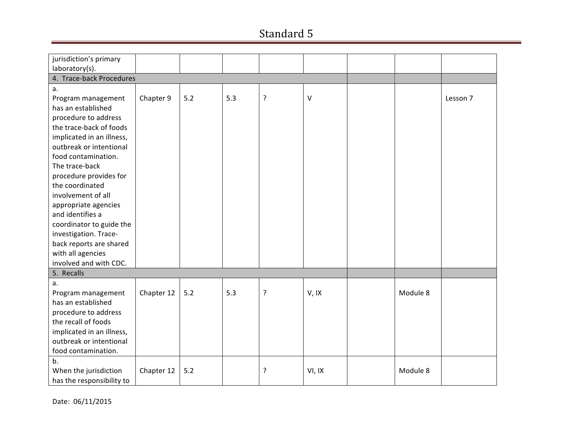| jurisdiction's primary    |            |     |     |   |              |          |          |
|---------------------------|------------|-----|-----|---|--------------|----------|----------|
| laboratory(s).            |            |     |     |   |              |          |          |
| 4. Trace-back Procedures  |            |     |     |   |              |          |          |
| a.                        |            |     |     |   |              |          |          |
| Program management        | Chapter 9  | 5.2 | 5.3 | ? | $\mathsf{V}$ |          | Lesson 7 |
| has an established        |            |     |     |   |              |          |          |
| procedure to address      |            |     |     |   |              |          |          |
| the trace-back of foods   |            |     |     |   |              |          |          |
| implicated in an illness, |            |     |     |   |              |          |          |
| outbreak or intentional   |            |     |     |   |              |          |          |
| food contamination.       |            |     |     |   |              |          |          |
| The trace-back            |            |     |     |   |              |          |          |
| procedure provides for    |            |     |     |   |              |          |          |
| the coordinated           |            |     |     |   |              |          |          |
| involvement of all        |            |     |     |   |              |          |          |
| appropriate agencies      |            |     |     |   |              |          |          |
| and identifies a          |            |     |     |   |              |          |          |
| coordinator to guide the  |            |     |     |   |              |          |          |
| investigation. Trace-     |            |     |     |   |              |          |          |
| back reports are shared   |            |     |     |   |              |          |          |
| with all agencies         |            |     |     |   |              |          |          |
| involved and with CDC.    |            |     |     |   |              |          |          |
| 5. Recalls                |            |     |     |   |              |          |          |
| a.                        |            |     |     |   |              |          |          |
| Program management        | Chapter 12 | 5.2 | 5.3 | ? | V, IX        | Module 8 |          |
| has an established        |            |     |     |   |              |          |          |
| procedure to address      |            |     |     |   |              |          |          |
| the recall of foods       |            |     |     |   |              |          |          |
| implicated in an illness, |            |     |     |   |              |          |          |
| outbreak or intentional   |            |     |     |   |              |          |          |
| food contamination.       |            |     |     |   |              |          |          |
| b.                        |            |     |     |   |              |          |          |
| When the jurisdiction     | Chapter 12 | 5.2 |     | ? | VI, IX       | Module 8 |          |
| has the responsibility to |            |     |     |   |              |          |          |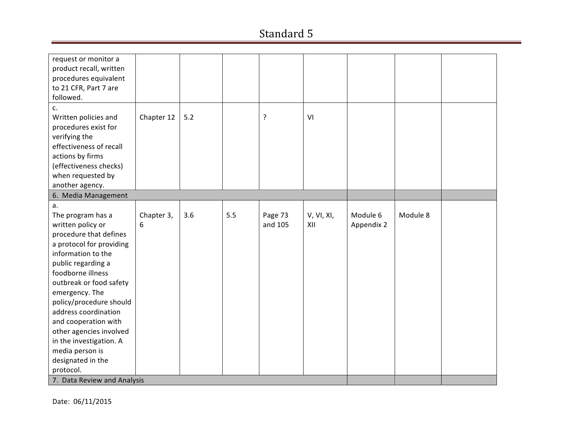| request or monitor a<br>product recall, written<br>procedures equivalent<br>to 21 CFR, Part 7 are |                 |     |     |                    |                   |            |          |  |
|---------------------------------------------------------------------------------------------------|-----------------|-----|-----|--------------------|-------------------|------------|----------|--|
| followed.                                                                                         |                 |     |     |                    |                   |            |          |  |
| c.                                                                                                |                 |     |     |                    |                   |            |          |  |
| Written policies and                                                                              | Chapter 12      | 5.2 |     | ?                  | VI                |            |          |  |
| procedures exist for                                                                              |                 |     |     |                    |                   |            |          |  |
| verifying the                                                                                     |                 |     |     |                    |                   |            |          |  |
| effectiveness of recall                                                                           |                 |     |     |                    |                   |            |          |  |
| actions by firms                                                                                  |                 |     |     |                    |                   |            |          |  |
| (effectiveness checks)                                                                            |                 |     |     |                    |                   |            |          |  |
| when requested by                                                                                 |                 |     |     |                    |                   |            |          |  |
| another agency.                                                                                   |                 |     |     |                    |                   |            |          |  |
| 6. Media Management                                                                               |                 |     |     |                    |                   |            |          |  |
| a.<br>The program has a                                                                           |                 | 3.6 | 5.5 |                    |                   | Module 6   | Module 8 |  |
| written policy or                                                                                 | Chapter 3,<br>6 |     |     | Page 73<br>and 105 | V, VI, XI,<br>XII | Appendix 2 |          |  |
| procedure that defines                                                                            |                 |     |     |                    |                   |            |          |  |
| a protocol for providing                                                                          |                 |     |     |                    |                   |            |          |  |
| information to the                                                                                |                 |     |     |                    |                   |            |          |  |
| public regarding a                                                                                |                 |     |     |                    |                   |            |          |  |
| foodborne illness                                                                                 |                 |     |     |                    |                   |            |          |  |
| outbreak or food safety                                                                           |                 |     |     |                    |                   |            |          |  |
| emergency. The                                                                                    |                 |     |     |                    |                   |            |          |  |
| policy/procedure should                                                                           |                 |     |     |                    |                   |            |          |  |
| address coordination                                                                              |                 |     |     |                    |                   |            |          |  |
| and cooperation with                                                                              |                 |     |     |                    |                   |            |          |  |
| other agencies involved                                                                           |                 |     |     |                    |                   |            |          |  |
| in the investigation. A                                                                           |                 |     |     |                    |                   |            |          |  |
| media person is                                                                                   |                 |     |     |                    |                   |            |          |  |
| designated in the                                                                                 |                 |     |     |                    |                   |            |          |  |
| protocol.                                                                                         |                 |     |     |                    |                   |            |          |  |
| 7. Data Review and Analysis                                                                       |                 |     |     |                    |                   |            |          |  |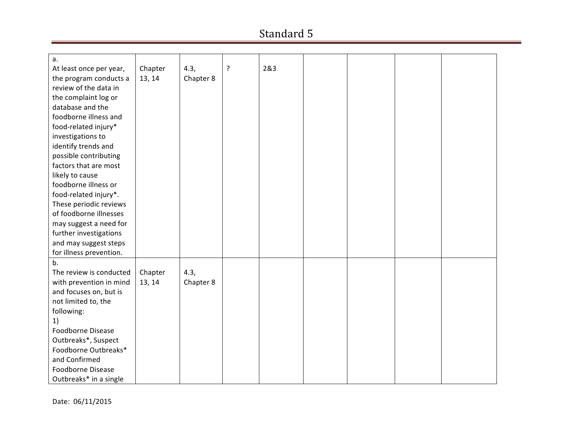| a.                      |         |           |   | 2&3 |  |  |
|-------------------------|---------|-----------|---|-----|--|--|
| At least once per year, | Chapter | 4.3,      | ? |     |  |  |
| the program conducts a  | 13, 14  | Chapter 8 |   |     |  |  |
| review of the data in   |         |           |   |     |  |  |
| the complaint log or    |         |           |   |     |  |  |
| database and the        |         |           |   |     |  |  |
| foodborne illness and   |         |           |   |     |  |  |
| food-related injury*    |         |           |   |     |  |  |
| investigations to       |         |           |   |     |  |  |
| identify trends and     |         |           |   |     |  |  |
| possible contributing   |         |           |   |     |  |  |
| factors that are most   |         |           |   |     |  |  |
| likely to cause         |         |           |   |     |  |  |
| foodborne illness or    |         |           |   |     |  |  |
| food-related injury*.   |         |           |   |     |  |  |
| These periodic reviews  |         |           |   |     |  |  |
| of foodborne illnesses  |         |           |   |     |  |  |
| may suggest a need for  |         |           |   |     |  |  |
| further investigations  |         |           |   |     |  |  |
| and may suggest steps   |         |           |   |     |  |  |
| for illness prevention. |         |           |   |     |  |  |
| b.                      |         |           |   |     |  |  |
| The review is conducted | Chapter | 4.3,      |   |     |  |  |
| with prevention in mind | 13, 14  | Chapter 8 |   |     |  |  |
| and focuses on, but is  |         |           |   |     |  |  |
| not limited to, the     |         |           |   |     |  |  |
| following:              |         |           |   |     |  |  |
| 1)                      |         |           |   |     |  |  |
| Foodborne Disease       |         |           |   |     |  |  |
|                         |         |           |   |     |  |  |
| Outbreaks*, Suspect     |         |           |   |     |  |  |
| Foodborne Outbreaks*    |         |           |   |     |  |  |
| and Confirmed           |         |           |   |     |  |  |
| Foodborne Disease       |         |           |   |     |  |  |
| Outbreaks* in a single  |         |           |   |     |  |  |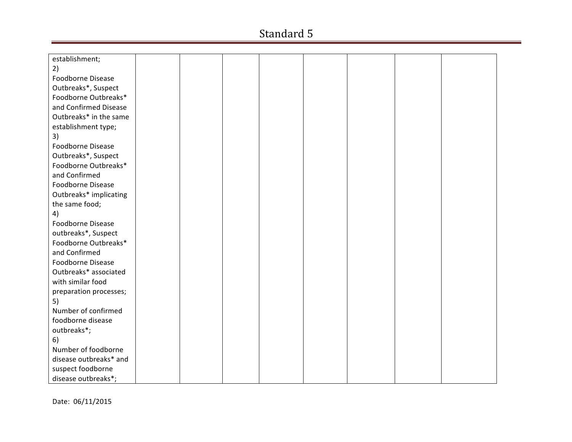| establishment;         |  |  |  |  |
|------------------------|--|--|--|--|
| 2)                     |  |  |  |  |
| Foodborne Disease      |  |  |  |  |
| Outbreaks*, Suspect    |  |  |  |  |
| Foodborne Outbreaks*   |  |  |  |  |
| and Confirmed Disease  |  |  |  |  |
| Outbreaks* in the same |  |  |  |  |
| establishment type;    |  |  |  |  |
| 3)                     |  |  |  |  |
| Foodborne Disease      |  |  |  |  |
| Outbreaks*, Suspect    |  |  |  |  |
| Foodborne Outbreaks*   |  |  |  |  |
| and Confirmed          |  |  |  |  |
| Foodborne Disease      |  |  |  |  |
| Outbreaks* implicating |  |  |  |  |
| the same food;         |  |  |  |  |
| 4)                     |  |  |  |  |
| Foodborne Disease      |  |  |  |  |
| outbreaks*, Suspect    |  |  |  |  |
| Foodborne Outbreaks*   |  |  |  |  |
| and Confirmed          |  |  |  |  |
| Foodborne Disease      |  |  |  |  |
| Outbreaks* associated  |  |  |  |  |
| with similar food      |  |  |  |  |
| preparation processes; |  |  |  |  |
| 5)                     |  |  |  |  |
| Number of confirmed    |  |  |  |  |
| foodborne disease      |  |  |  |  |
| outbreaks*;            |  |  |  |  |
| 6)                     |  |  |  |  |
| Number of foodborne    |  |  |  |  |
| disease outbreaks* and |  |  |  |  |
| suspect foodborne      |  |  |  |  |
| disease outbreaks*;    |  |  |  |  |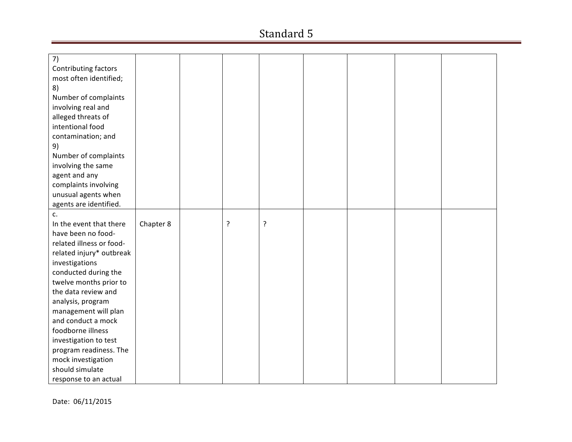| 7)                       |           |   |   |  |  |
|--------------------------|-----------|---|---|--|--|
| Contributing factors     |           |   |   |  |  |
| most often identified;   |           |   |   |  |  |
| 8)                       |           |   |   |  |  |
| Number of complaints     |           |   |   |  |  |
| involving real and       |           |   |   |  |  |
| alleged threats of       |           |   |   |  |  |
| intentional food         |           |   |   |  |  |
| contamination; and       |           |   |   |  |  |
| 9)                       |           |   |   |  |  |
| Number of complaints     |           |   |   |  |  |
| involving the same       |           |   |   |  |  |
| agent and any            |           |   |   |  |  |
| complaints involving     |           |   |   |  |  |
| unusual agents when      |           |   |   |  |  |
| agents are identified.   |           |   |   |  |  |
| c.                       |           |   |   |  |  |
| In the event that there  | Chapter 8 | ? | ? |  |  |
| have been no food-       |           |   |   |  |  |
| related illness or food- |           |   |   |  |  |
| related injury* outbreak |           |   |   |  |  |
| investigations           |           |   |   |  |  |
| conducted during the     |           |   |   |  |  |
| twelve months prior to   |           |   |   |  |  |
| the data review and      |           |   |   |  |  |
| analysis, program        |           |   |   |  |  |
| management will plan     |           |   |   |  |  |
| and conduct a mock       |           |   |   |  |  |
| foodborne illness        |           |   |   |  |  |
| investigation to test    |           |   |   |  |  |
| program readiness. The   |           |   |   |  |  |
| mock investigation       |           |   |   |  |  |
| should simulate          |           |   |   |  |  |
| response to an actual    |           |   |   |  |  |